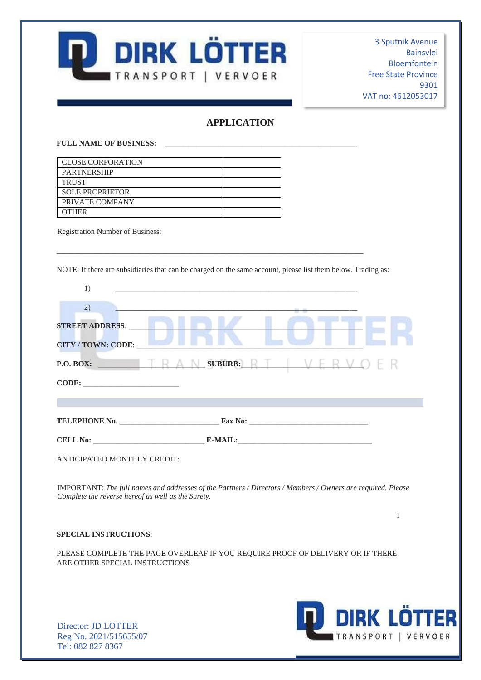

# **APPLICATION**

#### **FULL NAME OF BUSINESS:** \_\_\_\_\_\_\_\_\_\_\_\_\_\_\_\_\_\_\_\_\_\_\_\_\_\_\_\_\_\_\_\_\_\_\_\_\_\_\_\_\_\_\_\_\_\_\_\_\_\_

| <b>CLOSE CORPORATION</b> |  |
|--------------------------|--|
| <b>PARTNERSHIP</b>       |  |
| <b>TRUST</b>             |  |
| <b>SOLE PROPRIETOR</b>   |  |
| PRIVATE COMPANY          |  |
| <b>OTHER</b>             |  |

Registration Number of Business:

NOTE: If there are subsidiaries that can be charged on the same account, please list them below. Trading as:

\_\_\_\_\_\_\_\_\_\_\_\_\_\_\_\_\_\_\_\_\_\_\_\_\_\_\_\_\_\_\_\_\_\_\_\_\_\_\_\_\_\_\_\_\_\_\_\_\_\_\_\_\_\_\_\_\_\_\_\_\_\_\_\_\_\_\_\_\_\_\_\_\_\_\_\_\_\_\_\_

| 1)                                                                                                                                                                |
|-------------------------------------------------------------------------------------------------------------------------------------------------------------------|
| 2)                                                                                                                                                                |
| <b>STREET ADDRESS:</b>                                                                                                                                            |
| <b>CITY / TOWN: CODE:</b>                                                                                                                                         |
|                                                                                                                                                                   |
| CODE:                                                                                                                                                             |
|                                                                                                                                                                   |
|                                                                                                                                                                   |
|                                                                                                                                                                   |
| ANTICIPATED MONTHLY CREDIT:                                                                                                                                       |
| IMPORTANT: The full names and addresses of the Partners / Directors / Members / Owners are required. Please<br>Complete the reverse hereof as well as the Surety. |
| I                                                                                                                                                                 |
| <b>SPECIAL INSTRUCTIONS:</b>                                                                                                                                      |
| PLEASE COMPLETE THE PAGE OVERLEAF IF YOU REQUIRE PROOF OF DELIVERY OR IF THERE<br>ARE OTHER SPECIAL INSTRUCTIONS                                                  |

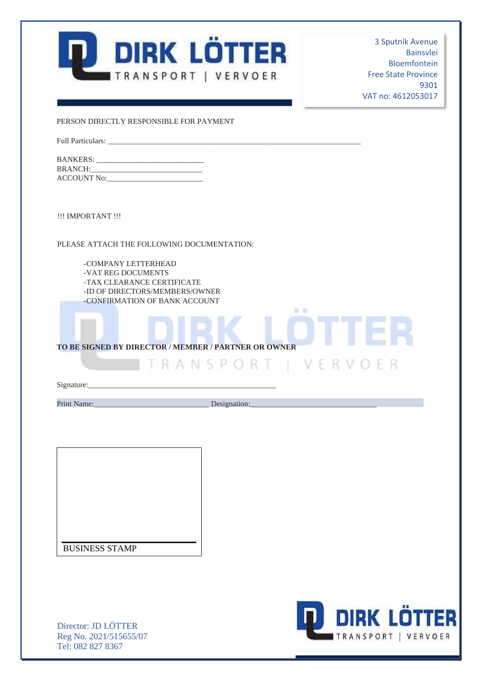

PERSON DIRECTLY RESPONSIBLE FOR PAYMENT

Full Particulars:

| <b>BANKERS:</b>    |
|--------------------|
| <b>BRANCH:</b>     |
| <b>ACCOUNT No:</b> |

!!! IMPORTANT !!!

PLEASE ATTACH THE FOLLOWING DOCUMENTATION:

-COMPANY LETTERHEAD -VAT REG DOCUMENTS -TAX CLEARANCE CERTIFICATE -ID OF DIRECTORS/MEMBERS/OWNER -CONFIRMATION OF BANK ACCOUNT

**TO BE SIGNED BY DIRECTOR / MEMBER / PARTNER OR OWNER** 

Signature:

Print Name:\_\_\_\_\_\_\_\_\_\_\_\_\_\_\_\_\_\_\_\_\_\_\_\_\_\_\_\_\_\_ Designation:\_\_\_\_\_\_\_\_\_\_\_\_\_\_\_\_\_\_\_\_\_\_\_\_\_\_\_\_\_\_\_\_\_

**10 B** 

TRANSPORT | VERVOER

BUSINESS STAMP

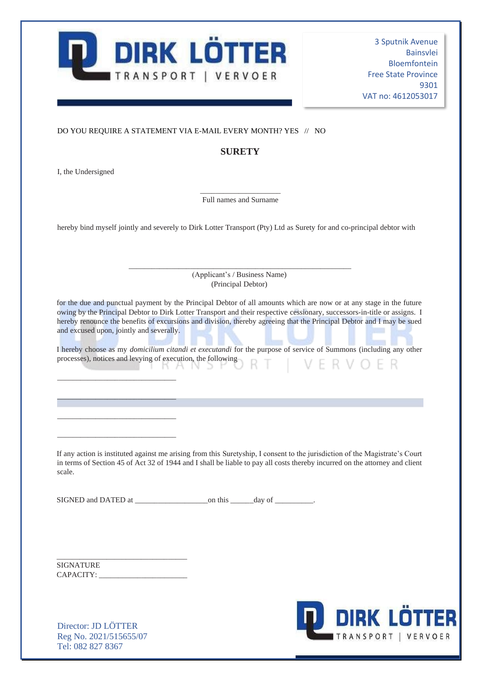

#### DO YOU REQUIRE A STATEMENT VIA E-MAIL EVERY MONTH? YES // NO

## **SURETY**

I, the Undersigned

\_\_\_\_\_\_\_\_\_\_\_\_\_\_\_\_\_\_\_\_\_ Full names and Surname

hereby bind myself jointly and severely to Dirk Lotter Transport (Pty) Ltd as Surety for and co-principal debtor with

\_\_\_\_\_\_\_\_\_\_\_\_\_\_\_\_\_\_\_\_\_\_\_\_\_\_\_\_\_\_\_\_\_\_\_\_\_\_\_\_\_\_\_\_\_\_\_\_\_\_\_\_\_\_\_\_\_\_ (Applicant's / Business Name) (Principal Debtor)

for the due and punctual payment by the Principal Debtor of all amounts which are now or at any stage in the future owing by the Principal Debtor to Dirk Lotter Transport and their respective cessionary, successors-in-title or assigns. I hereby renounce the benefits of excursions and division, thereby agreeing that the Principal Debtor and I may be sued and excused upon, jointly and severally.

I hereby choose as my *domicilium citandi et executandi* for the purpose of service of Summons (including any other I hereby choose as my *aomacuma* channel in the following<br>processes), notices and levying of execution, the following VFRVOFR KANS t

If any action is instituted against me arising from this Suretyship, I consent to the jurisdiction of the Magistrate's Court in terms of Section 45 of Act 32 of 1944 and I shall be liable to pay all costs thereby incurred on the attorney and client scale.

SIGNED and DATED at  $\qquad \qquad \text{on this} \qquad \qquad \text{day of} \qquad \qquad .$ 

SIGNATURE CAPACITY:

\_\_\_\_\_\_\_\_\_\_\_\_\_\_\_\_\_\_\_\_\_\_\_\_\_\_\_\_\_\_\_\_\_\_

\_\_\_\_\_\_\_\_\_\_\_\_\_\_\_\_\_\_\_\_\_\_\_\_\_\_\_\_\_\_\_

\_\_\_\_\_\_\_\_\_\_\_\_\_\_\_\_\_\_\_\_\_\_\_\_\_\_\_\_\_\_\_

\_\_\_\_\_\_\_\_\_\_\_\_\_\_\_\_\_\_\_\_\_\_\_\_\_\_\_\_\_\_\_

\_\_\_\_\_\_\_\_\_\_\_\_\_\_\_\_\_\_\_\_\_\_\_\_\_\_\_\_\_\_\_

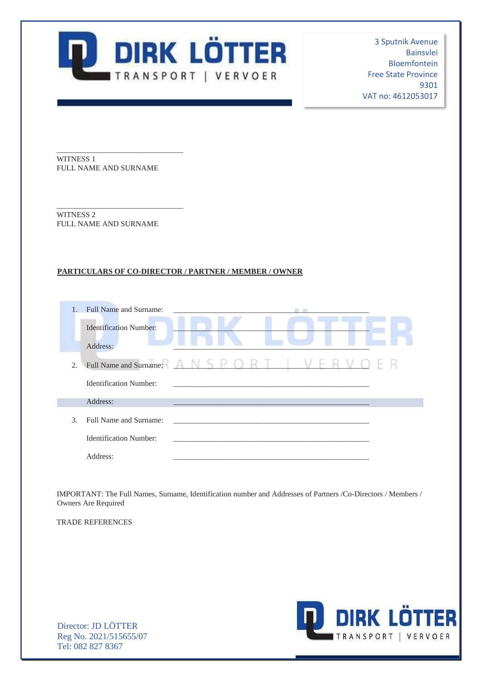

WITNESS 1 FULL NAME AND SURNAME

\_\_\_\_\_\_\_\_\_\_\_\_\_\_\_\_\_\_\_\_\_\_\_\_\_\_\_\_\_\_\_\_\_

\_\_\_\_\_\_\_\_\_\_\_\_\_\_\_\_\_\_\_\_\_\_\_\_\_\_\_\_\_\_\_\_\_

WITNESS 2 FULL NAME AND SURNAME

### **PARTICULARS OF CO-DIRECTOR / PARTNER / MEMBER / OWNER**

|                             | Full Name and Surname:        |               |
|-----------------------------|-------------------------------|---------------|
|                             | <b>Identification Number:</b> |               |
|                             | Address:                      |               |
| 2.                          | Full Name and Surname:        | SPORT<br>- 12 |
|                             | <b>Identification Number:</b> |               |
|                             | Address:                      |               |
| $\mathcal{F}_{\mathcal{F}}$ | Full Name and Surname:        |               |
|                             | <b>Identification Number:</b> |               |
|                             | Address:                      |               |

IMPORTANT: The Full Names, Surname, Identification number and Addresses of Partners /Co-Directors / Members / Owners Are Required

TRADE REFERENCES

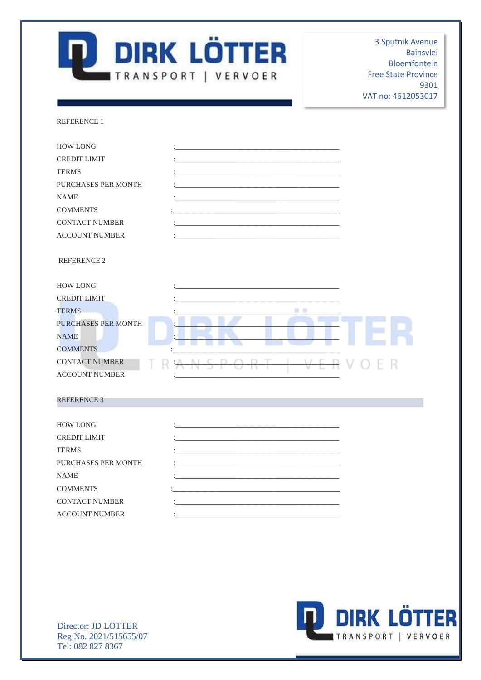

REFERENCE 1

| <b>HOW LONG</b>            |        |  |
|----------------------------|--------|--|
| <b>CREDIT LIMIT</b>        |        |  |
| <b>TERMS</b>               |        |  |
| PURCHASES PER MONTH        |        |  |
| <b>NAME</b>                |        |  |
| <b>COMMENTS</b>            |        |  |
| <b>CONTACT NUMBER</b>      |        |  |
| <b>ACCOUNT NUMBER</b>      |        |  |
| <b>REFERENCE 2</b>         |        |  |
| <b>HOW LONG</b>            |        |  |
| <b>CREDIT LIMIT</b>        |        |  |
| <b>TERMS</b>               | Đ<br>۰ |  |
| <b>PURCHASES PER MONTH</b> |        |  |
| <b>NAME</b>                |        |  |
| <b>COMMENTS</b>            |        |  |
| <b>CONTACT NUMBER</b>      |        |  |
| <b>ACCOUNT NUMBER</b>      |        |  |
|                            |        |  |
| <b>REFERENCE 3</b>         |        |  |
| TIOUTLE OLIG               |        |  |

| <b>HOW LONG</b>       |                                                                                                                                                                                                                                          |
|-----------------------|------------------------------------------------------------------------------------------------------------------------------------------------------------------------------------------------------------------------------------------|
| <b>CREDIT LIMIT</b>   | <u> 1989 - Johann John Harry Harry Harry Harry Harry Harry Harry Harry Harry Harry Harry Harry Harry Harry Harry H</u>                                                                                                                   |
| <b>TERMS</b>          | $\mathbf{1}_{\mathcal{A}}$ and the set of the set of the set of the set of the set of the set of the set of the set of the set of the set of the set of the set of the set of the set of the set of the set of the set of the set of the |
| PURCHASES PER MONTH   | the component of the component of the component of the component of the component of the component of the component of the component of the component of the component of the component of the component of the component of t           |
| <b>NAME</b>           | $\mathbf{1}$ , and the set of the set of the set of the set of the set of the set of the set of the set of the set of the set of the set of the set of the set of the set of the set of the set of the set of the set of the set         |
| <b>COMMENTS</b>       | the control of the control of the control of the control of the control of the control of                                                                                                                                                |
| <b>CONTACT NUMBER</b> | $\mathbf{1}$ , and the contribution of the contribution of the contribution of $\mathbf{1}$                                                                                                                                              |
| <b>ACCOUNT NUMBER</b> | the control of the control of the control of the control of the control of the control of the control of the control of the control of the control of the control of the control of the control of the control of the control            |
|                       |                                                                                                                                                                                                                                          |

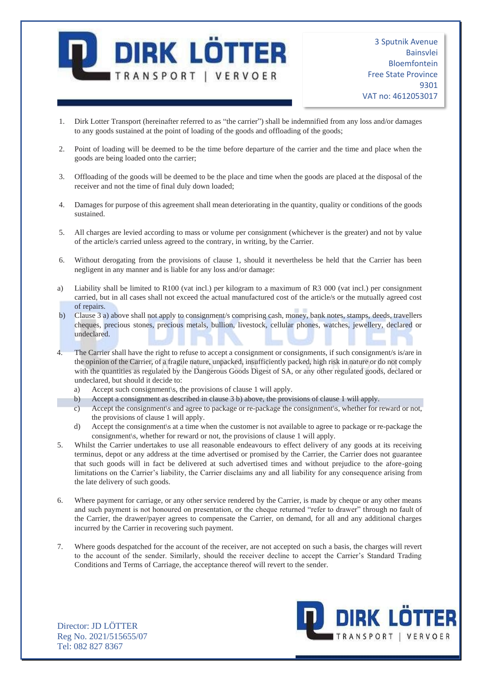

- 1. Dirk Lotter Transport (hereinafter referred to as "the carrier") shall be indemnified from any loss and/or damages to any goods sustained at the point of loading of the goods and offloading of the goods;
- 2. Point of loading will be deemed to be the time before departure of the carrier and the time and place when the goods are being loaded onto the carrier;
- 3. Offloading of the goods will be deemed to be the place and time when the goods are placed at the disposal of the receiver and not the time of final duly down loaded;
- 4. Damages for purpose of this agreement shall mean deteriorating in the quantity, quality or conditions of the goods sustained.
- 5. All charges are levied according to mass or volume per consignment (whichever is the greater) and not by value of the article/s carried unless agreed to the contrary, in writing, by the Carrier.
- 6. Without derogating from the provisions of clause 1, should it nevertheless be held that the Carrier has been negligent in any manner and is liable for any loss and/or damage:
- a) Liability shall be limited to R100 (vat incl.) per kilogram to a maximum of R3 000 (vat incl.) per consignment carried, but in all cases shall not exceed the actual manufactured cost of the article/s or the mutually agreed cost of repairs.
- b) Clause 3 a) above shall not apply to consignment/s comprising cash, money, bank notes, stamps, deeds, travellers cheques, precious stones, precious metals, bullion, livestock, cellular phones, watches, jewellery, declared or undeclared.
- 4. The Carrier shall have the right to refuse to accept a consignment or consignments, if such consignment/s is/are in the opinion of the Carrier, of a fragile nature, unpacked, insufficiently packed, high risk in nature or do not comply with the quantities as regulated by the Dangerous Goods Digest of SA, or any other regulated goods, declared or undeclared, but should it decide to:
	- a) Accept such consignment\s, the provisions of clause 1 will apply.
	- b) Accept a consignment as described in clause 3 b) above, the provisions of clause 1 will apply.
	- c) Accept the consignment\s and agree to package or re-package the consignment\s, whether for reward or not, the provisions of clause 1 will apply.
	- d) Accept the consignment\s at a time when the customer is not available to agree to package or re-package the consignment\s, whether for reward or not, the provisions of clause 1 will apply.
- 5. Whilst the Carrier undertakes to use all reasonable endeavours to effect delivery of any goods at its receiving terminus, depot or any address at the time advertised or promised by the Carrier, the Carrier does not guarantee that such goods will in fact be delivered at such advertised times and without prejudice to the afore-going limitations on the Carrier's liability, the Carrier disclaims any and all liability for any consequence arising from the late delivery of such goods.
- 6. Where payment for carriage, or any other service rendered by the Carrier, is made by cheque or any other means and such payment is not honoured on presentation, or the cheque returned "refer to drawer" through no fault of the Carrier, the drawer/payer agrees to compensate the Carrier, on demand, for all and any additional charges incurred by the Carrier in recovering such payment.
- 7. Where goods despatched for the account of the receiver, are not accepted on such a basis, the charges will revert to the account of the sender. Similarly, should the receiver decline to accept the Carrier's Standard Trading Conditions and Terms of Carriage, the acceptance thereof will revert to the sender.